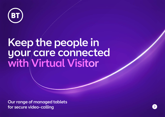

# Keep the people in your/care connected with $\operatorname{\textsf{Virtual}}$  Visitor

Our range of managed tablets for secure video-calling

 $\rightarrow$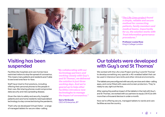

*["The Life Lines project](https://www.kingshealthpartners.org/our-work/lifelines/about-lifelines) found a simple, reliable and secure method for connecting patients, family members and medical teams. Importantly for us, the solution works with Trust information governance procedures."*

**Professor Louise Rose** King's College London

### Visiting has been suspended

Facilities like hospitals and care homes have restricted visitors to stop the spread of coronavirus. This means many patients and residents aren't able to see loved ones face-to-face.

Staff have tried to find solutions, including offering their personal phones to the people in their care. But sharing phones could compromise data security and risks spreading disease.

Given the risks to safety and security, hospital patients and care home residents need specialised technology to stay connected during the pandemic.

That's why we developed Virtual Visitor - a range of managed tablets for secure video-calling.

*"By collaborating with our technology partners and working closely with Guy's and St Thomas', we delivered the solution in just three working days. And we're geared up to help other facilities introduce new technologies to manage the impact of coronavirus."*

**Gerry McQuade** CEO of Enterprise, BT

### Our tablets were developed with Guy's and St Thomas'

We worked with the Life Lines Project and Guy's and St Thomas' to develop something very special: a 4G-enabled tablet that can be used in Intensive Care Units and other clinical environments.

The tablets are preconfigured with security services and video-calling apps, and come fitted with cases and screen protectors. They're ready to use, right out the box.

After seeing the positive impact of the tablets in the trail with Guy's and St Thomas', we worked with our partners to equip 230 ICUs with more than a thousand devices in under a month.

Now we're offering secure, managed tablets to wards and care facilities across the country.

2